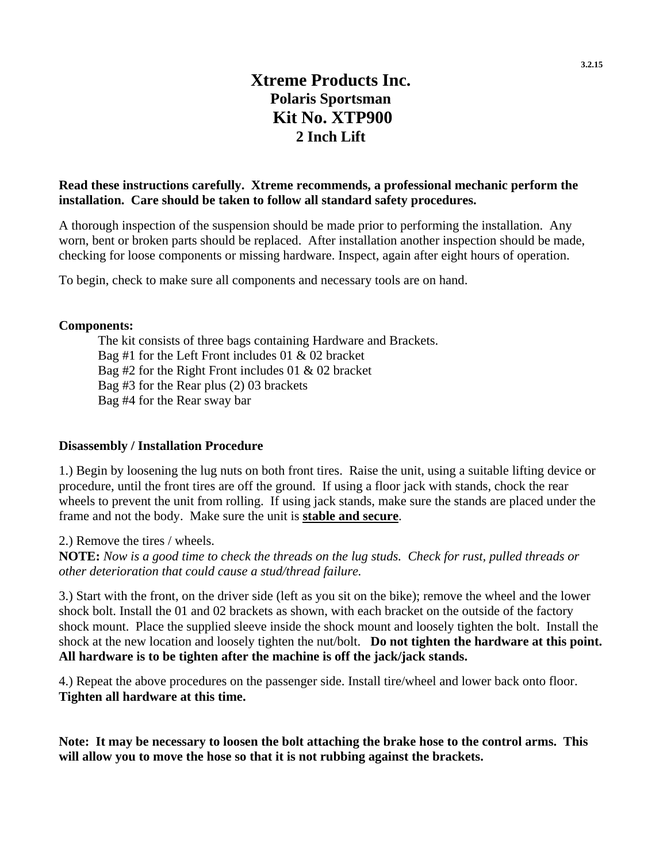# **Xtreme Products Inc. Polaris Sportsman Kit No. XTP900 2 Inch Lift**

### **Read these instructions carefully. Xtreme recommends, a professional mechanic perform the installation. Care should be taken to follow all standard safety procedures.**

A thorough inspection of the suspension should be made prior to performing the installation. Any worn, bent or broken parts should be replaced. After installation another inspection should be made, checking for loose components or missing hardware. Inspect, again after eight hours of operation.

To begin, check to make sure all components and necessary tools are on hand.

#### **Components:**

The kit consists of three bags containing Hardware and Brackets. Bag #1 for the Left Front includes 01 & 02 bracket Bag #2 for the Right Front includes 01 & 02 bracket Bag #3 for the Rear plus (2) 03 brackets Bag #4 for the Rear sway bar

### **Disassembly / Installation Procedure**

1.) Begin by loosening the lug nuts on both front tires. Raise the unit, using a suitable lifting device or procedure, until the front tires are off the ground. If using a floor jack with stands, chock the rear wheels to prevent the unit from rolling. If using jack stands, make sure the stands are placed under the frame and not the body. Make sure the unit is **stable and secure**.

2.) Remove the tires / wheels.

**NOTE:** *Now is a good time to check the threads on the lug studs. Check for rust, pulled threads or other deterioration that could cause a stud/thread failure.*

3.) Start with the front, on the driver side (left as you sit on the bike); remove the wheel and the lower shock bolt. Install the 01 and 02 brackets as shown, with each bracket on the outside of the factory shock mount. Place the supplied sleeve inside the shock mount and loosely tighten the bolt. Install the shock at the new location and loosely tighten the nut/bolt. **Do not tighten the hardware at this point. All hardware is to be tighten after the machine is off the jack/jack stands.**

4.) Repeat the above procedures on the passenger side. Install tire/wheel and lower back onto floor. **Tighten all hardware at this time.** 

**Note: It may be necessary to loosen the bolt attaching the brake hose to the control arms. This will allow you to move the hose so that it is not rubbing against the brackets.**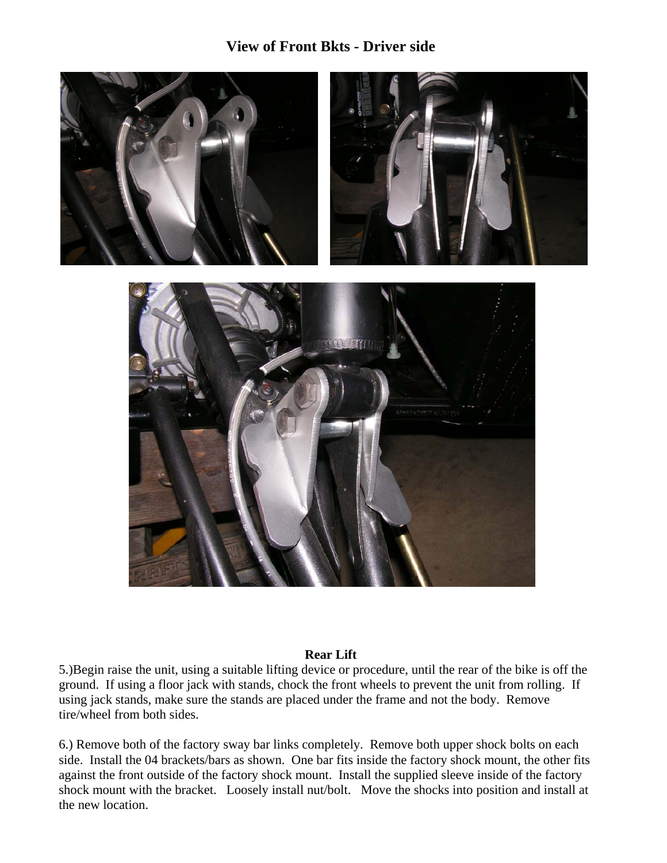## **View of Front Bkts - Driver side**



### **Rear Lift**

5.)Begin raise the unit, using a suitable lifting device or procedure, until the rear of the bike is off the ground. If using a floor jack with stands, chock the front wheels to prevent the unit from rolling. If using jack stands, make sure the stands are placed under the frame and not the body. Remove tire/wheel from both sides.

6.) Remove both of the factory sway bar links completely. Remove both upper shock bolts on each side. Install the 04 brackets/bars as shown. One bar fits inside the factory shock mount, the other fits against the front outside of the factory shock mount. Install the supplied sleeve inside of the factory shock mount with the bracket. Loosely install nut/bolt. Move the shocks into position and install at the new location.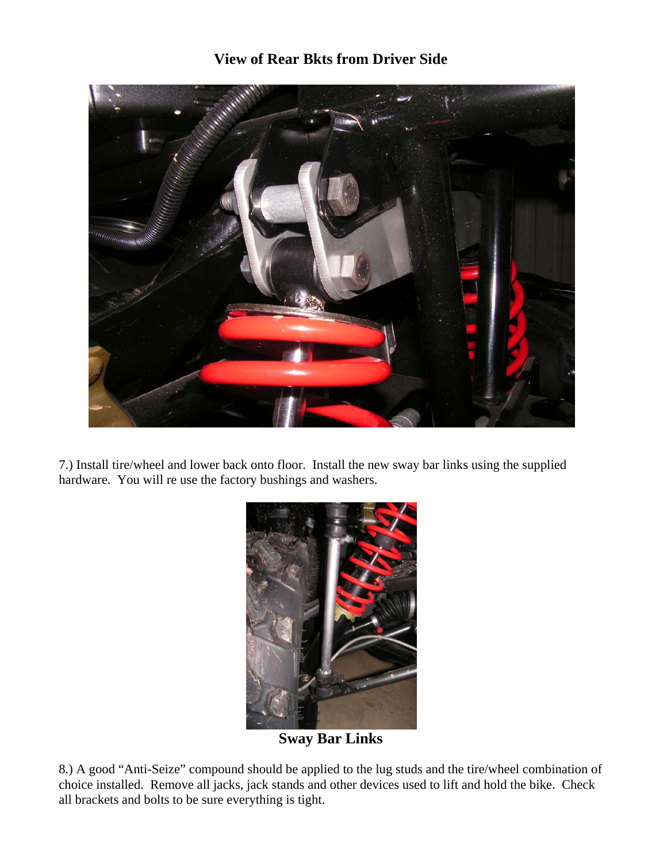## **View of Rear Bkts from Driver Side**



7.) Install tire/wheel and lower back onto floor. Install the new sway bar links using the supplied hardware. You will re use the factory bushings and washers.



**Sway Bar Links**

8.) A good "Anti-Seize" compound should be applied to the lug studs and the tire/wheel combination of choice installed. Remove all jacks, jack stands and other devices used to lift and hold the bike. Check all brackets and bolts to be sure everything is tight.